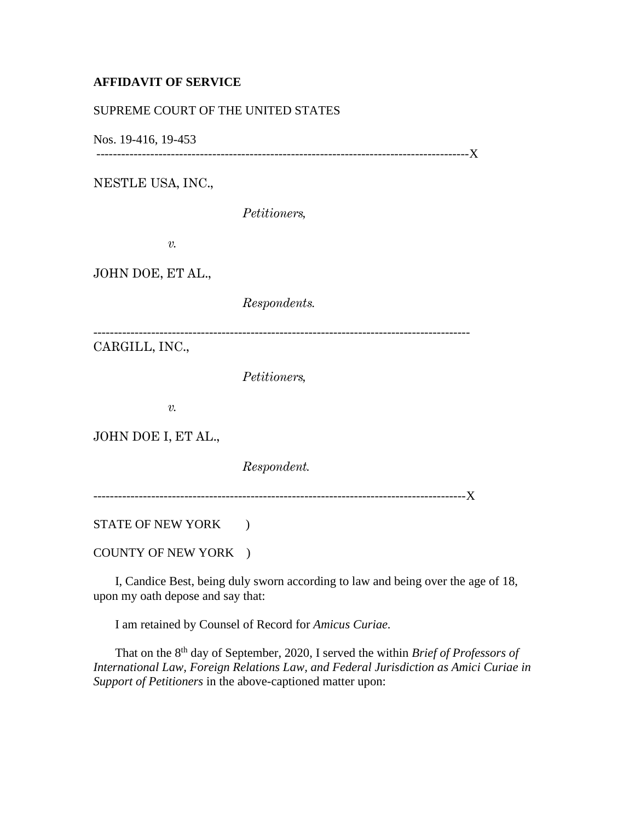## **AFFIDAVIT OF SERVICE**

## SUPREME COURT OF THE UNITED STATES

Nos. 19-416, 19-453

------------------------------------------------------------------------------------------X

NESTLE USA, INC.,

*Petitioners,*

*v.*

JOHN DOE, ET AL.,

*Respondents.*

-------------------------------------------------------------------------------------------

CARGILL, INC.,

*Petitioners,*

*v.*

JOHN DOE I, ET AL.,

*Respondent.*

------------------------------------------------------------------------------------------X

STATE OF NEW YORK )

COUNTY OF NEW YORK )

 I, Candice Best, being duly sworn according to law and being over the age of 18, upon my oath depose and say that:

I am retained by Counsel of Record for *Amicus Curiae.*

That on the 8<sup>th</sup> day of September, 2020, I served the within *Brief of Professors of International Law, Foreign Relations Law, and Federal Jurisdiction as Amici Curiae in Support of Petitioners* in the above-captioned matter upon: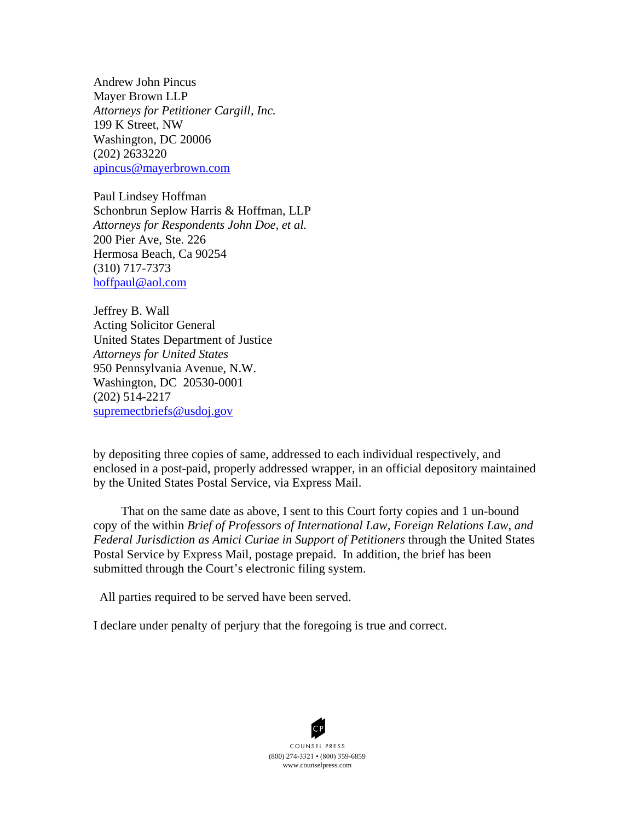Andrew John Pincus Mayer Brown LLP *Attorneys for Petitioner Cargill, Inc.* 199 K Street, NW Washington, DC 20006 (202) 2633220 [apincus@mayerbrown.com](mailto:apincus@mayerbrown.com)

Paul Lindsey Hoffman Schonbrun Seplow Harris & Hoffman, LLP *Attorneys for Respondents John Doe, et al.* 200 Pier Ave, Ste. 226 Hermosa Beach, Ca 90254 (310) 717-7373 [hoffpaul@aol.com](mailto:hoffpaul@aol.com)

Jeffrey B. Wall Acting Solicitor General United States Department of Justice *Attorneys for United States* 950 Pennsylvania Avenue, N.W. Washington, DC 20530-0001 (202) 514-2217 [supremectbriefs@usdoj.gov](mailto:supremectbriefs@usdoj.gov)

by depositing three copies of same, addressed to each individual respectively, and enclosed in a post-paid, properly addressed wrapper, in an official depository maintained by the United States Postal Service, via Express Mail.

 That on the same date as above, I sent to this Court forty copies and 1 un-bound copy of the within *Brief of Professors of International Law, Foreign Relations Law, and Federal Jurisdiction as Amici Curiae in Support of Petitioners* through the United States Postal Service by Express Mail, postage prepaid. In addition, the brief has been submitted through the Court's electronic filing system.

All parties required to be served have been served.

I declare under penalty of perjury that the foregoing is true and correct.